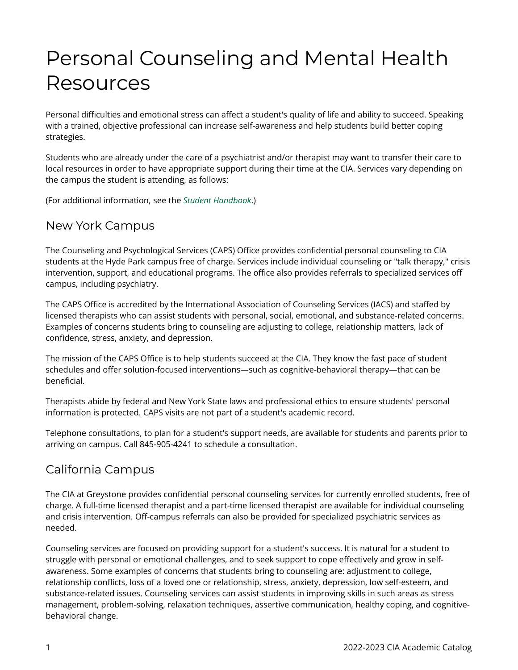## Personal Counseling and Mental Health Resources

Personal difficulties and emotional stress can affect a student's quality of life and ability to succeed. Speaking with a trained, objective professional can increase self-awareness and help students build better coping strategies.

Students who are already under the care of a psychiatrist and/or therapist may want to transfer their care to local resources in order to have appropriate support during their time at the CIA. Services vary depending on the campus the student is attending, as follows:

(For additional information, see the *[Student Handbook](https://live-cia-catalog22.cleancatalog.io/student-handbook/counseling-and-psychological-services-caps)*.)

## New York Campus

The Counseling and Psychological Services (CAPS) Office provides confidential personal counseling to CIA students at the Hyde Park campus free of charge. Services include individual counseling or "talk therapy," crisis intervention, support, and educational programs. The office also provides referrals to specialized services off campus, including psychiatry.

The CAPS Office is accredited by the International Association of Counseling Services (IACS) and staffed by licensed therapists who can assist students with personal, social, emotional, and substance-related concerns. Examples of concerns students bring to counseling are adjusting to college, relationship matters, lack of confidence, stress, anxiety, and depression.

The mission of the CAPS Office is to help students succeed at the CIA. They know the fast pace of student schedules and offer solution-focused interventions—such as cognitive-behavioral therapy—that can be beneficial.

Therapists abide by federal and New York State laws and professional ethics to ensure students' personal information is protected. CAPS visits are not part of a student's academic record.

Telephone consultations, to plan for a student's support needs, are available for students and parents prior to arriving on campus. Call 845-905-4241 to schedule a consultation.

## California Campus

The CIA at Greystone provides confidential personal counseling services for currently enrolled students, free of charge. A full-time licensed therapist and a part-time licensed therapist are available for individual counseling and crisis intervention. Off-campus referrals can also be provided for specialized psychiatric services as needed.

Counseling services are focused on providing support for a student's success. It is natural for a student to struggle with personal or emotional challenges, and to seek support to cope effectively and grow in selfawareness. Some examples of concerns that students bring to counseling are: adjustment to college, relationship conflicts, loss of a loved one or relationship, stress, anxiety, depression, low self-esteem, and substance-related issues. Counseling services can assist students in improving skills in such areas as stress management, problem-solving, relaxation techniques, assertive communication, healthy coping, and cognitivebehavioral change.